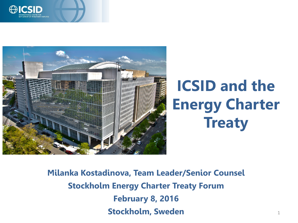



# **ICSID and the Energy Charter Treaty**

**Milanka Kostadinova, Team Leader/Senior Counsel Stockholm Energy Charter Treaty Forum February 8, 2016 Stockholm, Sweden** 1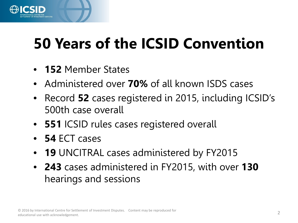

## **50 Years of the ICSID Convention**

- **152** Member States
- Administered over **70%** of all known ISDS cases
- Record **52** cases registered in 2015, including ICSID's 500th case overall
- **551** ICSID rules cases registered overall
- **54** ECT cases
- **19** UNCITRAL cases administered by FY2015
- **243** cases administered in FY2015, with over **130** hearings and sessions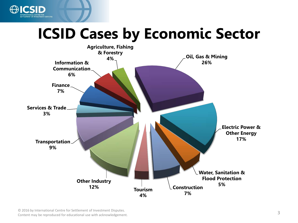

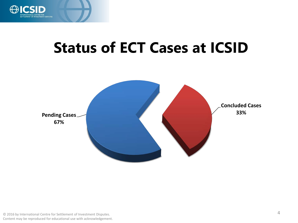

### **Status of ECT Cases at ICSID**

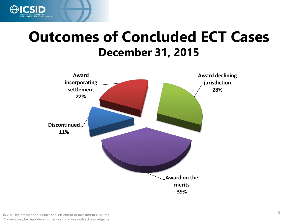

#### **Outcomes of Concluded ECT Cases December 31, 2015**